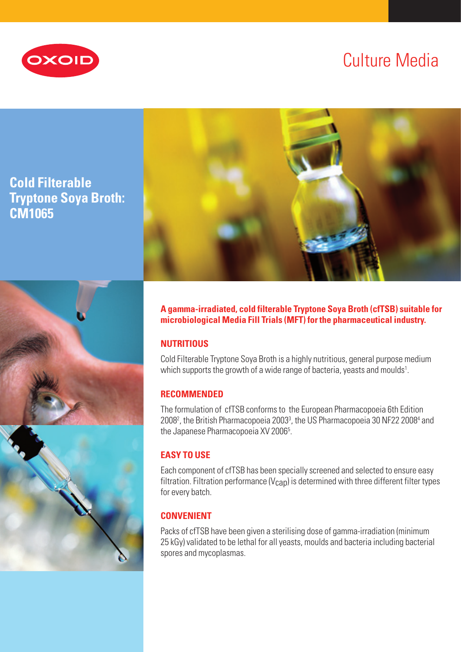

# Culture Media

## **Cold Filterable Tryptone Soya Broth: CM1065**



**A gamma-irradiated, cold filterable Tryptone Soya Broth (cfTSB) suitable for microbiological Media Fill Trials (MFT) for the pharmaceutical industry.**

## **NUTRITIOUS**

Cold Filterable Tryptone Soya Broth is a highly nutritious, general purpose medium which supports the growth of a wide range of bacteria, yeasts and moulds $^{\scriptscriptstyle 1}$ .

## **RECOMMENDED**

The formulation of cfTSB conforms to the European Pharmacopoeia 6th Edition 2008<sup>2</sup>, the British Pharmacopoeia 2003<sup>3</sup>, the US Pharmacopoeia 30 NF22 2008<sup>4</sup> and the Japanese Pharmacopoeia XV 2006<sup>5</sup>.

## **EASY TO USE**

Each component of cfTSB has been specially screened and selected to ensure easy filtration. Filtration performance ( $V_{\text{CAD}}$ ) is determined with three different filter types for every batch.

## **CONVENIENT**

Packs of cfTSB have been given a sterilising dose of gamma-irradiation (minimum 25 kGy) validated to be lethal for all yeasts, moulds and bacteria including bacterial spores and mycoplasmas.